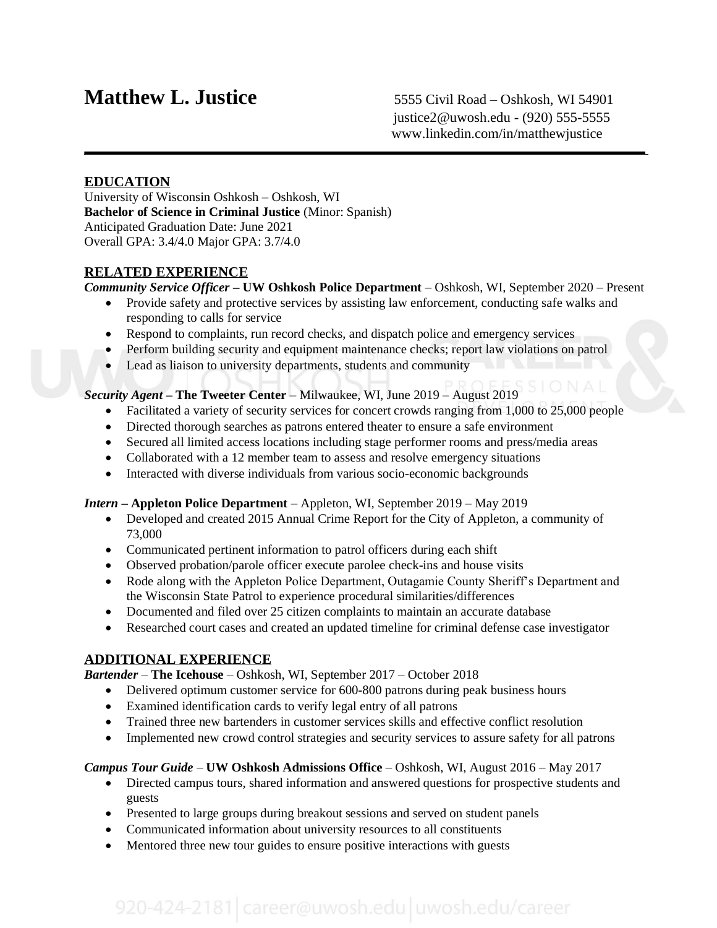## **Matthew L. Justice** 5555 Civil Road – Oshkosh, WI 54901

#### **EDUCATION**

University of Wisconsin Oshkosh – Oshkosh, WI **Bachelor of Science in Criminal Justice** (Minor: Spanish) Anticipated Graduation Date: June 2021 Overall GPA: 3.4/4.0 Major GPA: 3.7/4.0

#### **RELATED EXPERIENCE**

*Community Service Officer* **– UW Oshkosh Police Department** – Oshkosh, WI, September 2020 – Present

- Provide safety and protective services by assisting law enforcement, conducting safe walks and responding to calls for service
- Respond to complaints, run record checks, and dispatch police and emergency services
- Perform building security and equipment maintenance checks; report law violations on patrol
- Lead as liaison to university departments, students and community

#### *Security Agent* **– The Tweeter Center** – Milwaukee, WI, June 2019 – August 2019

- Facilitated a variety of security services for concert crowds ranging from 1,000 to 25,000 people
- Directed thorough searches as patrons entered theater to ensure a safe environment
- Secured all limited access locations including stage performer rooms and press/media areas
- Collaborated with a 12 member team to assess and resolve emergency situations
- Interacted with diverse individuals from various socio-economic backgrounds

#### *Intern* **– Appleton Police Department** – Appleton, WI, September 2019 – May 2019

- Developed and created 2015 Annual Crime Report for the City of Appleton, a community of 73,000
- Communicated pertinent information to patrol officers during each shift
- Observed probation/parole officer execute parolee check-ins and house visits
- Rode along with the Appleton Police Department, Outagamie County Sheriff's Department and the Wisconsin State Patrol to experience procedural similarities/differences
- Documented and filed over 25 citizen complaints to maintain an accurate database
- Researched court cases and created an updated timeline for criminal defense case investigator

#### **ADDITIONAL EXPERIENCE**

*Bartender* – **The Icehouse** – Oshkosh, WI, September 2017 – October 2018

- Delivered optimum customer service for 600-800 patrons during peak business hours
- Examined identification cards to verify legal entry of all patrons
- Trained three new bartenders in customer services skills and effective conflict resolution
- Implemented new crowd control strategies and security services to assure safety for all patrons

#### *Campus Tour Guide* – **UW Oshkosh Admissions Office** – Oshkosh, WI, August 2016 – May 2017

- Directed campus tours, shared information and answered questions for prospective students and guests
- Presented to large groups during breakout sessions and served on student panels
- Communicated information about university resources to all constituents
- Mentored three new tour guides to ensure positive interactions with guests

# 920-424-2181 career@uwosh.edu uwosh.edu/career